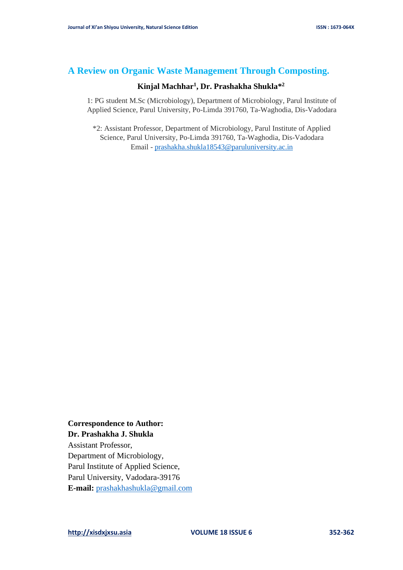# **A Review on Organic Waste Management Through Composting.**

# **Kinjal Machhar<sup>1</sup> , Dr. Prashakha Shukla\* 2**

1: PG student M.Sc (Microbiology), Department of Microbiology, Parul Institute of Applied Science, Parul University, Po-Limda 391760, Ta-Waghodia, Dis-Vadodara

\*2: Assistant Professor, Department of Microbiology, Parul Institute of Applied Science, Parul University, Po-Limda 391760, Ta-Waghodia, Dis-Vadodara Email - [prashakha.shukla18543@paruluniversity.ac.in](mailto:prashakha.shukla18543@paruluniversity.ac.in)

# **Correspondence to Author: Dr. Prashakha J. Shukla**

Assistant Professor, Department of Microbiology, Parul Institute of Applied Science, Parul University, Vadodara-39176 **E-mail:** [prashakhashukla@gmail.com](mailto:prashakhashukla@gmail.com)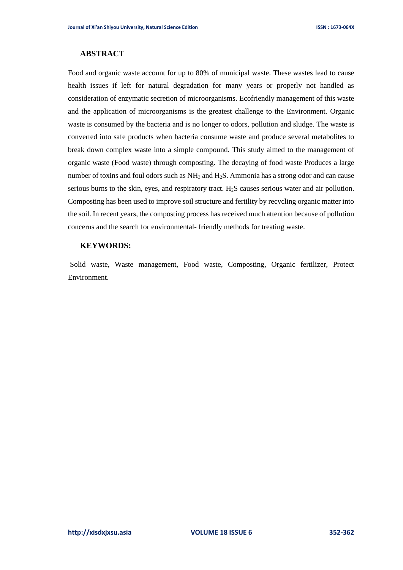# **ABSTRACT**

Food and organic waste account for up to 80% of municipal waste. These wastes lead to cause health issues if left for natural degradation for many years or properly not handled as consideration of enzymatic secretion of microorganisms. Ecofriendly management of this waste and the application of microorganisms is the greatest challenge to the Environment. Organic waste is consumed by the bacteria and is no longer to odors, pollution and sludge. The waste is converted into safe products when bacteria consume waste and produce several metabolites to break down complex waste into a simple compound. This study aimed to the management of organic waste (Food waste) through composting. The decaying of food waste Produces a large number of toxins and foul odors such as NH<sub>3</sub> and H<sub>2</sub>S. Ammonia has a strong odor and can cause serious burns to the skin, eyes, and respiratory tract.  $H_2S$  causes serious water and air pollution. Composting has been used to improve soil structure and fertility by recycling organic matter into the soil. In recent years, the composting process has received much attention because of pollution concerns and the search for environmental- friendly methods for treating waste.

### **KEYWORDS:**

Solid waste, Waste management, Food waste, Composting, Organic fertilizer, Protect Environment.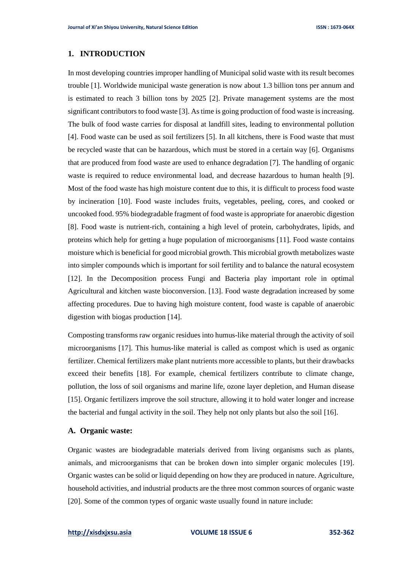# **1. INTRODUCTION**

In most developing countries improper handling of Municipal solid waste with its result becomes trouble [1]. Worldwide municipal waste generation is now about 1.3 billion tons per annum and is estimated to reach 3 billion tons by 2025 [2]. Private management systems are the most significant contributors to food waste [3]. As time is going production of food waste is increasing. The bulk of food waste carries for disposal at landfill sites, leading to environmental pollution [4]. Food waste can be used as soil fertilizers [5]. In all kitchens, there is Food waste that must be recycled waste that can be hazardous, which must be stored in a certain way [6]. Organisms that are produced from food waste are used to enhance degradation [7]. The handling of organic waste is required to reduce environmental load, and decrease hazardous to human health [9]. Most of the food waste has high moisture content due to this, it is difficult to process food waste by incineration [10]. Food waste includes fruits, vegetables, peeling, cores, and cooked or uncooked food. 95% biodegradable fragment of food waste is appropriate for anaerobic digestion [8]. Food waste is nutrient-rich, containing a high level of protein, carbohydrates, lipids, and proteins which help for getting a huge population of microorganisms [11]. Food waste contains moisture which is beneficial for good microbial growth. This microbial growth metabolizes waste into simpler compounds which is important for soil fertility and to balance the natural ecosystem [12]. In the Decomposition process Fungi and Bacteria play important role in optimal Agricultural and kitchen waste bioconversion. [13]. Food waste degradation increased by some affecting procedures. Due to having high moisture content, food waste is capable of anaerobic digestion with biogas production [14].

Composting transforms raw organic residues into humus-like material through the activity of soil microorganisms [17]. This humus-like material is called as compost which is used as organic fertilizer. Chemical fertilizers make plant nutrients more accessible to plants, but their drawbacks exceed their benefits [18]. For example, chemical fertilizers contribute to climate change, pollution, the loss of soil organisms and marine life, ozone layer depletion, and Human disease [15]. Organic fertilizers improve the soil structure, allowing it to hold water longer and increase the bacterial and fungal activity in the soil. They help not only plants but also the soil [16].

#### **A. Organic waste:**

Organic wastes are biodegradable materials derived from living organisms such as plants, animals, and microorganisms that can be broken down into simpler organic molecules [19]. Organic wastes can be solid or liquid depending on how they are produced in nature. Agriculture, household activities, and industrial products are the three most common sources of organic waste [20]. Some of the common types of organic waste usually found in nature include: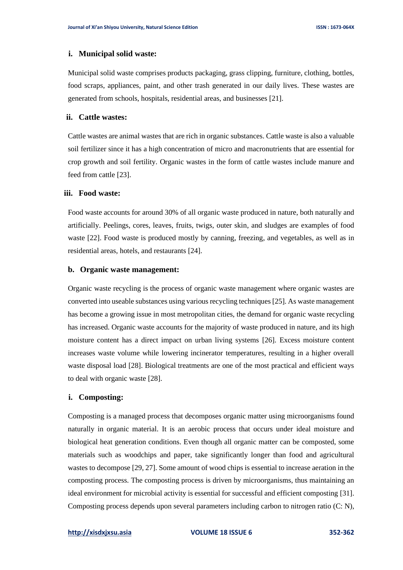## **i. Municipal solid waste:**

Municipal solid waste comprises products packaging, grass clipping, furniture, clothing, bottles, food scraps, appliances, paint, and other trash generated in our daily lives. These wastes are generated from schools, hospitals, residential areas, and businesses [21].

## **ii. Cattle wastes:**

Cattle wastes are animal wastes that are rich in organic substances. Cattle waste is also a valuable soil fertilizer since it has a high concentration of micro and macronutrients that are essential for crop growth and soil fertility. Organic wastes in the form of cattle wastes include manure and feed from cattle [23].

## **iii. Food waste:**

Food waste accounts for around 30% of all organic waste produced in nature, both naturally and artificially. Peelings, cores, leaves, fruits, twigs, outer skin, and sludges are examples of food waste [22]. Food waste is produced mostly by canning, freezing, and vegetables, as well as in residential areas, hotels, and restaurants [24].

#### **b. Organic waste management:**

Organic waste recycling is the process of organic waste management where organic wastes are converted into useable substances using various recycling techniques [25]. As waste management has become a growing issue in most metropolitan cities, the demand for organic waste recycling has increased. Organic waste accounts for the majority of waste produced in nature, and its high moisture content has a direct impact on urban living systems [26]. Excess moisture content increases waste volume while lowering incinerator temperatures, resulting in a higher overall waste disposal load [28]. Biological treatments are one of the most practical and efficient ways to deal with organic waste [28].

#### **i. Composting:**

Composting is a managed process that decomposes organic matter using microorganisms found naturally in organic material. It is an aerobic process that occurs under ideal moisture and biological heat generation conditions. Even though all organic matter can be composted, some materials such as woodchips and paper, take significantly longer than food and agricultural wastes to decompose [29, 27]. Some amount of wood chips is essential to increase aeration in the composting process. The composting process is driven by microorganisms, thus maintaining an ideal environment for microbial activity is essential for successful and efficient composting [31]. Composting process depends upon several parameters including carbon to nitrogen ratio (C: N),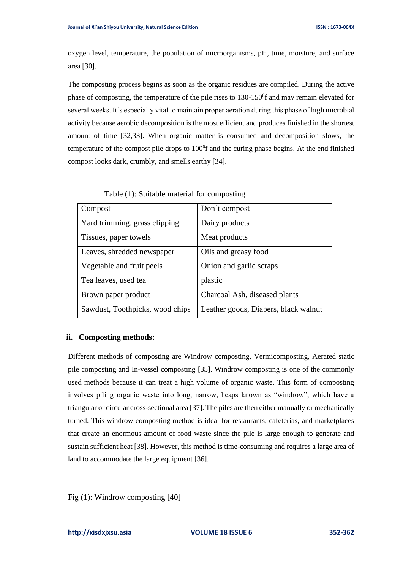oxygen level, temperature, the population of microorganisms, pH, time, moisture, and surface area [30].

The composting process begins as soon as the organic residues are compiled. During the active phase of composting, the temperature of the pile rises to 130-150<sup>0</sup>f and may remain elevated for several weeks. It's especially vital to maintain proper aeration during this phase of high microbial activity because aerobic decomposition is the most efficient and produces finished in the shortest amount of time [32,33]. When organic matter is consumed and decomposition slows, the temperature of the compost pile drops to  $100<sup>0</sup>f$  and the curing phase begins. At the end finished compost looks dark, crumbly, and smells earthy [34].

| Compost                         | Don't compost                        |
|---------------------------------|--------------------------------------|
| Yard trimming, grass clipping   | Dairy products                       |
| Tissues, paper towels           | Meat products                        |
| Leaves, shredded newspaper      | Oils and greasy food                 |
| Vegetable and fruit peels       | Onion and garlic scraps              |
| Tea leaves, used tea            | plastic                              |
| Brown paper product             | Charcoal Ash, diseased plants        |
| Sawdust, Toothpicks, wood chips | Leather goods, Diapers, black walnut |

Table (1): Suitable material for composting

# **ii. Composting methods:**

Different methods of composting are Windrow composting, Vermicomposting, Aerated static pile composting and In-vessel composting [35]. Windrow composting is one of the commonly used methods because it can treat a high volume of organic waste. This form of composting involves piling organic waste into long, narrow, heaps known as "windrow", which have a triangular or circular cross-sectional area [37]. The piles are then either manually or mechanically turned. This windrow composting method is ideal for restaurants, cafeterias, and marketplaces that create an enormous amount of food waste since the pile is large enough to generate and sustain sufficient heat [38]. However, this method is time-consuming and requires a large area of land to accommodate the large equipment [36].

Fig (1): Windrow composting [40]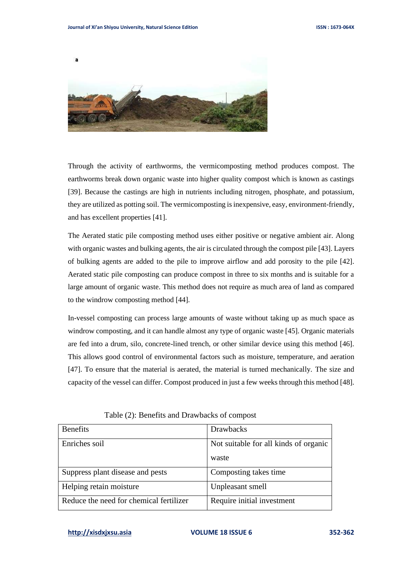

Through the activity of earthworms, the vermicomposting method produces compost. The earthworms break down organic waste into higher quality compost which is known as castings [39]. Because the castings are high in nutrients including nitrogen, phosphate, and potassium, they are utilized as potting soil. The vermicomposting is inexpensive, easy, environment-friendly, and has excellent properties [41].

The Aerated static pile composting method uses either positive or negative ambient air. Along with organic wastes and bulking agents, the air is circulated through the compost pile [43]. Layers of bulking agents are added to the pile to improve airflow and add porosity to the pile [42]. Aerated static pile composting can produce compost in three to six months and is suitable for a large amount of organic waste. This method does not require as much area of land as compared to the windrow composting method [44].

In-vessel composting can process large amounts of waste without taking up as much space as windrow composting, and it can handle almost any type of organic waste [45]. Organic materials are fed into a drum, silo, concrete-lined trench, or other similar device using this method [46]. This allows good control of environmental factors such as moisture, temperature, and aeration [47]. To ensure that the material is aerated, the material is turned mechanically. The size and capacity of the vessel can differ. Compost produced in just a few weeks through this method [48].

| <b>Benefits</b>                         | <b>Drawbacks</b>                      |
|-----------------------------------------|---------------------------------------|
| Enriches soil                           | Not suitable for all kinds of organic |
|                                         | waste                                 |
| Suppress plant disease and pests        | Composting takes time                 |
| Helping retain moisture                 | Unpleasant smell                      |
| Reduce the need for chemical fertilizer | Require initial investment            |

Table (2): Benefits and Drawbacks of compost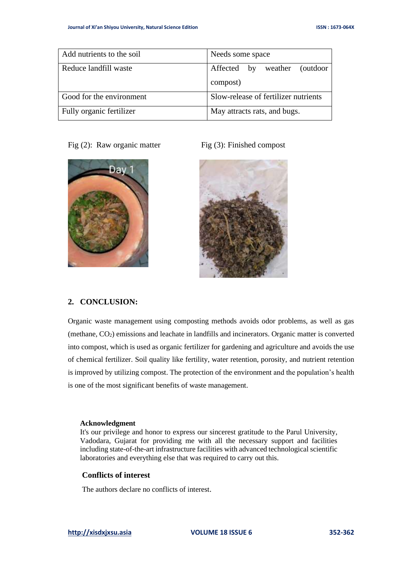| Add nutrients to the soil | Needs some space                     |
|---------------------------|--------------------------------------|
| Reduce landfill waste     | Affected by weather (outdoor         |
|                           | compost)                             |
| Good for the environment  | Slow-release of fertilizer nutrients |
| Fully organic fertilizer  | May attracts rats, and bugs.         |

Fig (2): Raw organic matter Fig (3): Finished compost





# **2. CONCLUSION:**

Organic waste management using composting methods avoids odor problems, as well as gas (methane, CO2) emissions and leachate in landfills and incinerators. Organic matter is converted into compost, which is used as organic fertilizer for gardening and agriculture and avoids the use of chemical fertilizer. Soil quality like fertility, water retention, porosity, and nutrient retention is improved by utilizing compost. The protection of the environment and the population's health is one of the most significant benefits of waste management.

#### **Acknowledgment**

It's our privilege and honor to express our sincerest gratitude to the Parul University, Vadodara, Gujarat for providing me with all the necessary support and facilities including state-of-the-art infrastructure facilities with advanced technological scientific laboratories and everything else that was required to carry out this.

# **Conflicts of interest**

The authors declare no conflicts of interest.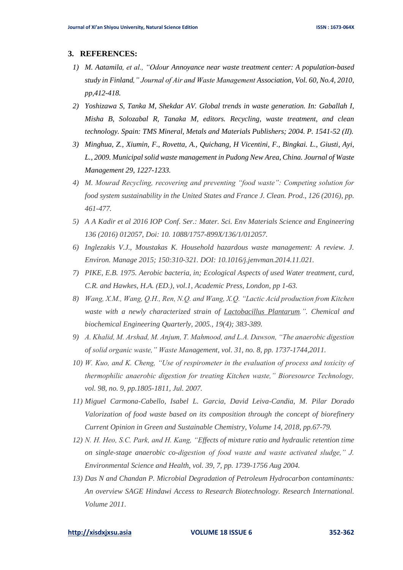#### **3. REFERENCES:**

- *1) M. Aatamila, et al., "Odour Annoyance near waste treatment center: A population-based study in Finland," Journal of Air and Waste Management Association, Vol. 60, No.4, 2010, pp,412-418.*
- *2) Yoshizawa S, Tanka M, Shekdar AV. Global trends in waste generation. In: Gaballah I, Misha B, Solozabal R, Tanaka M, editors. Recycling, waste treatment, and clean technology. Spain: TMS Mineral, Metals and Materials Publishers; 2004. P. 1541-52 (Ⅱ).*
- *3) Minghua, Z., Xiumin, F., Rovetta, A., Quichang, H Vicentini, F., Bingkai. L., Giusti, Ayi, L., 2009. Municipal solid waste management in Pudong New Area, China. Journal of Waste Management 29, 1227-1233.*
- *4) M. Mourad Recycling, recovering and preventing "food waste": Competing solution for food system sustainability in the United States and France J. Clean. Prod., 126 (2016), pp. 461-477.*
- *5) A A Kadir et al 2016 IOP Conf. Ser.: Mater. Sci. Env Materials Science and Engineering 136 (2016) 012057, Doi: 10. 1088/1757-899X/136/1/012057.*
- *6) Inglezakis V.J., Moustakas K. Household hazardous waste management: A review. J. Environ. Manage 2015; 150:310-321. DOI: 10.1016/j.jenvman.2014.11.021.*
- *7) PIKE, E.B. 1975. Aerobic bacteria, in; Ecological Aspects of used Water treatment, curd, C.R. and Hawkes, H.A. (ED.), vol.1, Academic Press, London, pp 1-63.*
- *8) Wang, X.M., Wang, Q.H., Ren, N.Q. and Wang, X.Q. "Lactic Acid production from Kitchen waste with a newly characterized strain of Lactobacillus Plantarum.". Chemical and biochemical Engineering Quarterly, 2005., 19(4); 383-389.*
- *9) A. Khalid, M. Arshad, M. Anjum, T. Mahmood, and L.A. Dawson, "The anaerobic digestion of solid organic waste," Waste Management, vol. 31, no. 8, pp. 1737-1744,2011.*
- *10) W. Kuo, and K. Cheng, "Use of respirometer in the evaluation of process and toxicity of thermophilic anaerobic digestion for treating Kitchen waste," Bioresource Technology, vol. 98, no. 9, pp.1805-1811, Jul. 2007.*
- *11) Miguel Carmona-Cabello, Isabel L. Garcia, David Leiva-Candia, M. Pilar Dorado Valorization of food waste based on its composition through the concept of biorefinery Current Opinion in Green and Sustainable Chemistry, Volume 14, 2018, pp.67-79.*
- *12) N. H. Heo, S.C. Park, and H. Kang, "Effects of mixture ratio and hydraulic retention time on single-stage anaerobic co-digestion of food waste and waste activated sludge," J. Environmental Science and Health, vol. 39, 7, pp. 1739-1756 Aug 2004.*
- *13) Das N and Chandan P. Microbial Degradation of Petroleum Hydrocarbon contaminants: An overview SAGE Hindawi Access to Research Biotechnology. Research International. Volume 2011.*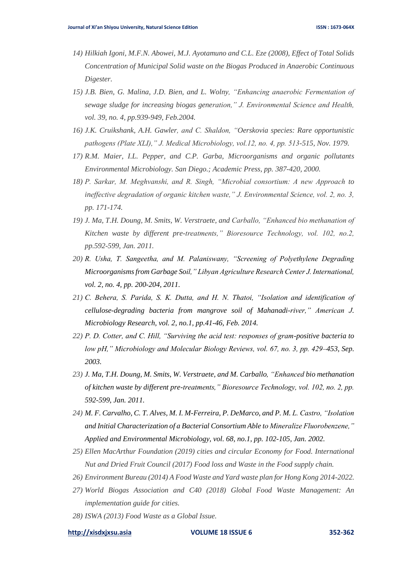- *14) Hilkiah Igoni, M.F.N. Abowei, M.J. Ayotamuno and C.L. Eze (2008), Effect of Total Solids Concentration of Municipal Solid waste on the Biogas Produced in Anaerobic Continuous Digester.*
- *15) J.B. Bien, G. Malina, J.D. Bien, and L. Wolny, "Enhancing anaerobic Fermentation of sewage sludge for increasing biogas generation," J. Environmental Science and Health, vol. 39, no. 4, pp.939-949, Feb.2004.*
- *16) J.K. Cruikshank, A.H. Gawler, and C. Shaldon, "Oerskovia species: Rare opportunistic pathogens (Plate XLI)," J. Medical Microbiology, vol.12, no. 4, pp. 513-515, Nov. 1979.*
- *17) R.M. Maier, I.L. Pepper, and C.P. Garba, Microorganisms and organic pollutants Environmental Microbiology. San Diego.; Academic Press, pp. 387-420, 2000.*
- *18) P. Sarkar, M. Meghvanshi, and R. Singh, "Microbial consortium: A new Approach to ineffective degradation of organic kitchen waste," J. Environmental Science, vol. 2, no. 3, pp. 171-174.*
- *19) J. Ma, T.H. Doung, M. Smits, W. Verstraete, and Carballo, "Enhanced bio methanation of Kitchen waste by different pre-treatments," Bioresource Technology, vol. 102, no.2, pp.592-599, Jan. 2011.*
- *20) R. Usha, T. Sangeetha, and M. Palaniswany, "Screening of Polyethylene Degrading Microorganisms from Garbage Soil," Libyan Agriculture Research Center J. International, vol. 2, no. 4, pp. 200-204, 2011.*
- *21) C. Behera, S. Parida, S. K. Dutta, and H. N. Thatoi, "Isolation and identification of cellulose-degrading bacteria from mangrove soil of Mahanadi-river," American J. Microbiology Research, vol. 2, no.1, pp.41-46, Feb. 2014.*
- *22) P. D. Cotter, and C. Hill, "Surviving the acid test: responses of gram-positive bacteria to low pH," Microbiology and Molecular Biology Reviews, vol. 67, no. 3, pp. 429–453, Sep. 2003.*
- *23) J. Ma, T.H. Doung, M. Smits, W. Verstraete, and M. Carballo, "Enhanced bio methanation of kitchen waste by different pre-treatments," Bioresource Technology, vol. 102, no. 2, pp. 592-599, Jan. 2011.*
- *24) M. F. Carvalho, C. T. Alves, M. I. M-Ferreira, P. DeMarco, and P. M. L. Castro, "Isolation and Initial Characterization of a Bacterial Consortium Able to Mineralize Fluorobenzene," Applied and Environmental Microbiology, vol. 68, no.1, pp. 102-105, Jan. 2002.*
- *25) Ellen MacArthur Foundation (2019) cities and circular Economy for Food. International Nut and Dried Fruit Council (2017) Food loss and Waste in the Food supply chain.*
- *26) Environment Bureau (2014) A Food Waste and Yard waste plan for Hong Kong 2014-2022.*
- *27) World Biogas Association and C40 (2018) Global Food Waste Management: An implementation guide for cities.*
- *28) ISWA (2013) Food Waste as a Global Issue.*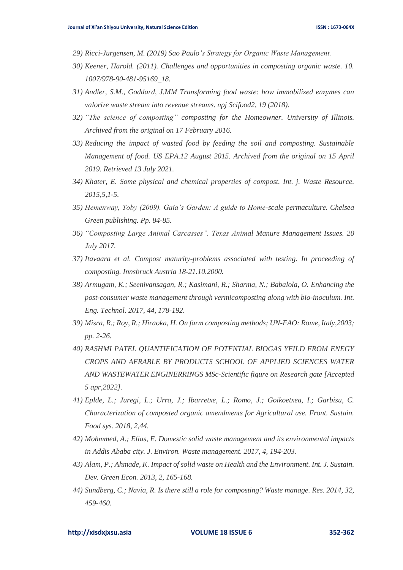- *29) Ricci-Jurgensen, M. (2019) Sao Paulo's Strategy for Organic Waste Management.*
- *30) Keener, Harold. (2011). Challenges and opportunities in composting organic waste. 10. 1007/978-90-481-95169\_18.*
- *31) Andler, S.M., Goddard, J.MM Transforming food waste: how immobilized enzymes can valorize waste stream into revenue streams. npj Scifood2, 19 (2018).*
- *32) "The science of composting" composting for the Homeowner. University of Illinois. Archived from the original on 17 February 2016.*
- *33) Reducing the impact of wasted food by feeding the soil and composting. Sustainable Management of food. US EPA.12 August 2015. Archived from the original on 15 April 2019. Retrieved 13 July 2021.*
- *34) Khater, E. Some physical and chemical properties of compost. Int. j. Waste Resource. 2015,5,1-5.*
- *35) Hemenway, Toby (2009). Gaia's Garden: A guide to Home-scale permaculture. Chelsea Green publishing. Pp. 84-85.*
- *36) "Composting Large Animal Carcasses". Texas Animal Manure Management Issues. 20 July 2017.*
- *37) Itavaara et al. Compost maturity-problems associated with testing. In proceeding of composting. Innsbruck Austria 18-21.10.2000.*
- *38) Armugam, K.; Seenivansagan, R.; Kasimani, R.; Sharma, N.; Babalola, O. Enhancing the post-consumer waste management through vermicomposting along with bio-inoculum. Int. Eng. Technol. 2017, 44, 178-192.*
- *39) Misra, R.; Roy, R.; Hiraoka, H. On farm composting methods; UN-FAO: Rome, Italy,2003; pp. 2-26.*
- *40) RASHMI PATEL QUANTIFICATION OF POTENTIAL BIOGAS YEILD FROM ENEGY CROPS AND AERABLE BY PRODUCTS SCHOOL OF APPLIED SCIENCES WATER AND WASTEWATER ENGINERRINGS MSc-Scientific figure on Research gate [Accepted 5 apr,2022].*
- *41) Eplde, L.; Juregi, L.; Urra, J.; Ibarretxe, L.; Romo, J.; Goikoetxea, I.; Garbisu, C. Characterization of composted organic amendments for Agricultural use. Front. Sustain. Food sys. 2018, 2,44.*
- *42) Mohmmed, A.; Elias, E. Domestic solid waste management and its environmental impacts in Addis Ababa city. J. Environ. Waste management. 2017, 4, 194-203.*
- *43) Alam, P.; Ahmade, K. Impact of solid waste on Health and the Environment. Int. J. Sustain. Dev. Green Econ. 2013, 2, 165-168.*
- *44) Sundberg, C.; Navia, R. Is there still a role for composting? Waste manage. Res. 2014, 32, 459-460.*